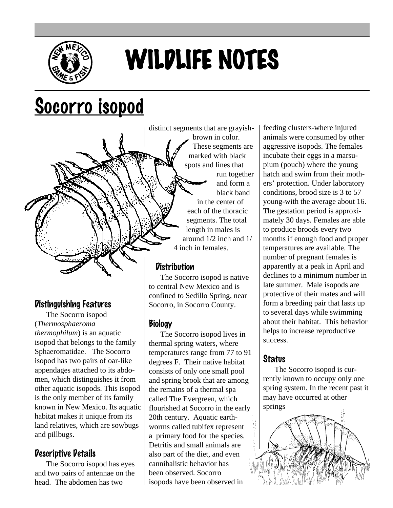

# WILDLIFE NOTES

distinct segments that are grayish-

# Socorro isopod

# Distinguishing Features

The Socorro isopod (*Thermosphaeroma thermophilum*) is an aquatic isopod that belongs to the family Sphaeromatidae. The Socorro isopod has two pairs of oar-like appendages attached to its abdomen, which distinguishes it from other aquatic isopods. This isopod is the only member of its family known in New Mexico. Its aquatic habitat makes it unique from its land relatives, which are sowbugs and pillbugs.

#### Descriptive Details

The Socorro isopod has eyes and two pairs of antennae on the head. The abdomen has two

brown in color. These segments are marked with black spots and lines that run together and form a black band in the center of each of the thoracic segments. The total length in males is around 1/2 inch and 1/ 4 inch in females.

## **Distribution**

The Socorro isopod is native to central New Mexico and is confined to Sedillo Spring, near Socorro, in Socorro County.

#### Biology

The Socorro isopod lives in thermal spring waters, where temperatures range from 77 to 91 degrees F. Their native habitat consists of only one small pool and spring brook that are among the remains of a thermal spa called The Evergreen, which flourished at Socorro in the early 20th century. Aquatic earthworms called tubifex represent a primary food for the species. Detritis and small animals are also part of the diet, and even cannibalistic behavior has been observed. Socorro isopods have been observed in

feeding clusters-where injured animals were consumed by other aggressive isopods. The females incubate their eggs in a marsupium (pouch) where the young hatch and swim from their mothers' protection. Under laboratory conditions, brood size is 3 to 57 young-with the average about 16. The gestation period is approximately 30 days. Females are able to produce broods every two months if enough food and proper temperatures are available. The number of pregnant females is apparently at a peak in April and declines to a minimum number in late summer. Male isopods are protective of their mates and will form a breeding pair that lasts up to several days while swimming about their habitat. This behavior helps to increase reproductive success.

## **Status**

The Socorro isopod is currently known to occupy only one spring system. In the recent past it may have occurred at other springs